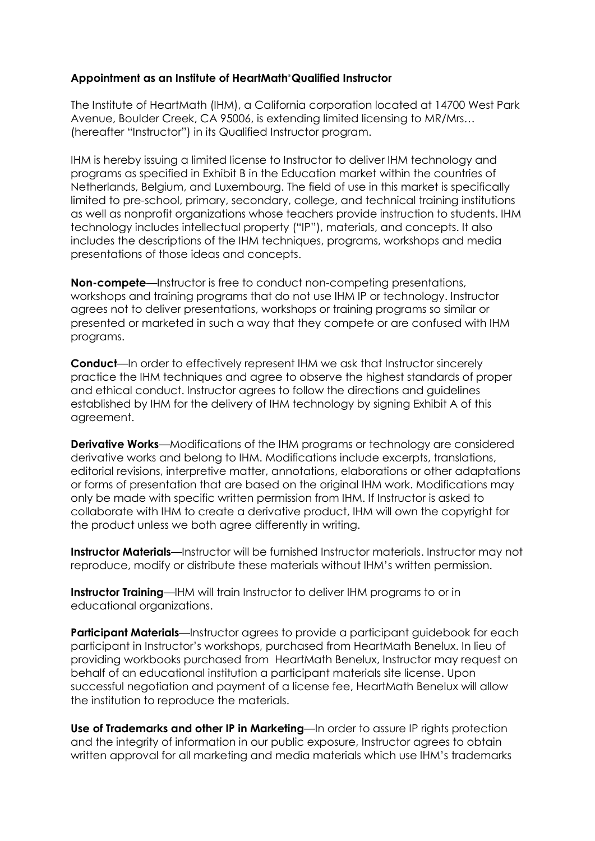### **Appointment as an Institute of HeartMath® Qualified Instructor**

The Institute of HeartMath (IHM), a California corporation located at 14700 West Park Avenue, Boulder Creek, CA 95006, is extending limited licensing to MR/Mrs… (hereafter "Instructor") in its Qualified Instructor program.

IHM is hereby issuing a limited license to Instructor to deliver IHM technology and programs as specified in Exhibit B in the Education market within the countries of Netherlands, Belgium, and Luxembourg. The field of use in this market is specifically limited to pre-school, primary, secondary, college, and technical training institutions as well as nonprofit organizations whose teachers provide instruction to students. IHM technology includes intellectual property ("IP"), materials, and concepts. It also includes the descriptions of the IHM techniques, programs, workshops and media presentations of those ideas and concepts.

**Non-compete**—Instructor is free to conduct non-competing presentations, workshops and training programs that do not use IHM IP or technology. Instructor agrees not to deliver presentations, workshops or training programs so similar or presented or marketed in such a way that they compete or are confused with IHM programs.

**Conduct**—In order to effectively represent IHM we ask that Instructor sincerely practice the IHM techniques and agree to observe the highest standards of proper and ethical conduct. Instructor agrees to follow the directions and guidelines established by IHM for the delivery of IHM technology by signing Exhibit A of this agreement.

**Derivative Works**—Modifications of the IHM programs or technology are considered derivative works and belong to IHM. Modifications include excerpts, translations, editorial revisions, interpretive matter, annotations, elaborations or other adaptations or forms of presentation that are based on the original IHM work. Modifications may only be made with specific written permission from IHM. If Instructor is asked to collaborate with IHM to create a derivative product, IHM will own the copyright for the product unless we both agree differently in writing.

**Instructor Materials**—Instructor will be furnished Instructor materials. Instructor may not reproduce, modify or distribute these materials without IHM's written permission.

**Instructor Training**—IHM will train Instructor to deliver IHM programs to or in educational organizations.

**Participant Materials**—Instructor agrees to provide a participant guidebook for each participant in Instructor's workshops, purchased from HeartMath Benelux. In lieu of providing workbooks purchased from HeartMath Benelux, Instructor may request on behalf of an educational institution a participant materials site license. Upon successful negotiation and payment of a license fee, HeartMath Benelux will allow the institution to reproduce the materials.

**Use of Trademarks and other IP in Marketing**—In order to assure IP rights protection and the integrity of information in our public exposure, Instructor agrees to obtain written approval for all marketing and media materials which use IHM's trademarks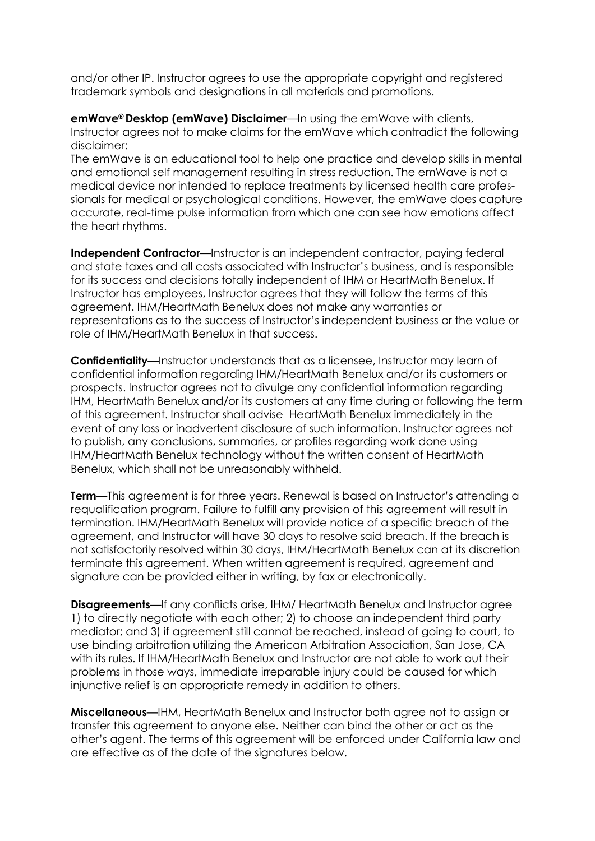and/or other IP. Instructor agrees to use the appropriate copyright and registered trademark symbols and designations in all materials and promotions.

**emWave® Desktop (emWave) Disclaimer**—In using the emWave with clients, Instructor agrees not to make claims for the emWave which contradict the following disclaimer:

The emWave is an educational tool to help one practice and develop skills in mental and emotional self management resulting in stress reduction. The emWave is not a medical device nor intended to replace treatments by licensed health care professionals for medical or psychological conditions. However, the emWave does capture accurate, real-time pulse information from which one can see how emotions affect the heart rhythms.

**Independent Contractor**—Instructor is an independent contractor, paying federal and state taxes and all costs associated with Instructor's business, and is responsible for its success and decisions totally independent of IHM or HeartMath Benelux. If Instructor has employees, Instructor agrees that they will follow the terms of this agreement. IHM/HeartMath Benelux does not make any warranties or representations as to the success of Instructor's independent business or the value or role of IHM/HeartMath Benelux in that success.

**Confidentiality—**Instructor understands that as a licensee, Instructor may learn of confidential information regarding IHM/HeartMath Benelux and/or its customers or prospects. Instructor agrees not to divulge any confidential information regarding IHM, HeartMath Benelux and/or its customers at any time during or following the term of this agreement. Instructor shall advise HeartMath Benelux immediately in the event of any loss or inadvertent disclosure of such information. Instructor agrees not to publish, any conclusions, summaries, or profiles regarding work done using IHM/HeartMath Benelux technology without the written consent of HeartMath Benelux, which shall not be unreasonably withheld.

**Term**—This agreement is for three years. Renewal is based on Instructor's attending a requalification program. Failure to fulfill any provision of this agreement will result in termination. IHM/HeartMath Benelux will provide notice of a specific breach of the agreement, and Instructor will have 30 days to resolve said breach. If the breach is not satisfactorily resolved within 30 days, IHM/HeartMath Benelux can at its discretion terminate this agreement. When written agreement is required, agreement and signature can be provided either in writing, by fax or electronically.

**Disagreements**—If any conflicts arise, IHM/ HeartMath Benelux and Instructor agree 1) to directly negotiate with each other; 2) to choose an independent third party mediator; and 3) if agreement still cannot be reached, instead of going to court, to use binding arbitration utilizing the American Arbitration Association, San Jose, CA with its rules. If IHM/HeartMath Benelux and Instructor are not able to work out their problems in those ways, immediate irreparable injury could be caused for which injunctive relief is an appropriate remedy in addition to others.

**Miscellaneous—**IHM, HeartMath Benelux and Instructor both agree not to assign or transfer this agreement to anyone else. Neither can bind the other or act as the other's agent. The terms of this agreement will be enforced under California law and are effective as of the date of the signatures below.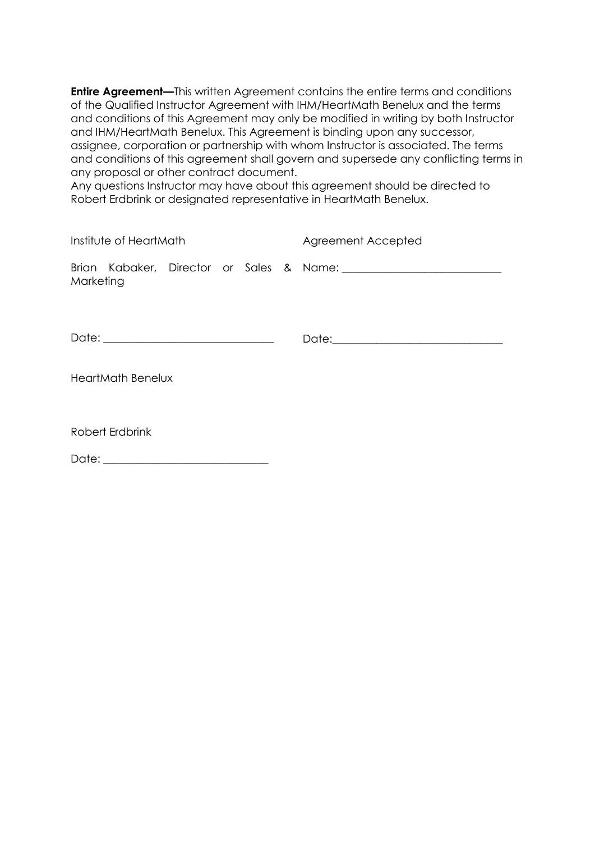**Entire Agreement—This written Agreement contains the entire terms and conditions** of the Qualified Instructor Agreement with IHM/HeartMath Benelux and the terms and conditions of this Agreement may only be modified in writing by both Instructor and IHM/HeartMath Benelux. This Agreement is binding upon any successor, assignee, corporation or partnership with whom Instructor is associated. The terms and conditions of this agreement shall govern and supersede any conflicting terms in any proposal or other contract document.

Any questions Instructor may have about this agreement should be directed to Robert Erdbrink or designated representative in HeartMath Benelux.

| Institute of HeartMath   |  |  |  |  |  | Agreement Accepted |
|--------------------------|--|--|--|--|--|--------------------|
| Marketing                |  |  |  |  |  |                    |
|                          |  |  |  |  |  |                    |
| <b>HeartMath Benelux</b> |  |  |  |  |  |                    |

Robert Erdbrink

Date: \_\_\_\_\_\_\_\_\_\_\_\_\_\_\_\_\_\_\_\_\_\_\_\_\_\_\_\_\_\_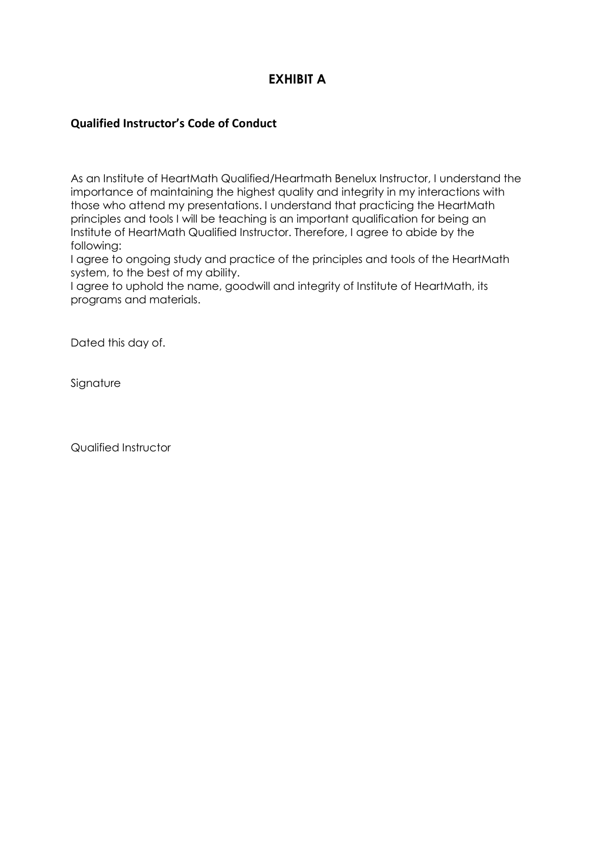# **EXHIBIT A**

### **Qualified Instructor's Code of Conduct**

As an Institute of HeartMath Qualified/Heartmath Benelux Instructor, I understand the importance of maintaining the highest quality and integrity in my interactions with those who attend my presentations. I understand that practicing the HeartMath principles and tools I will be teaching is an important qualification for being an Institute of HeartMath Qualified Instructor. Therefore, I agree to abide by the following:

I agree to ongoing study and practice of the principles and tools of the HeartMath system, to the best of my ability.

I agree to uphold the name, goodwill and integrity of Institute of HeartMath, its programs and materials.

Dated this day of.

Signature

Qualified Instructor